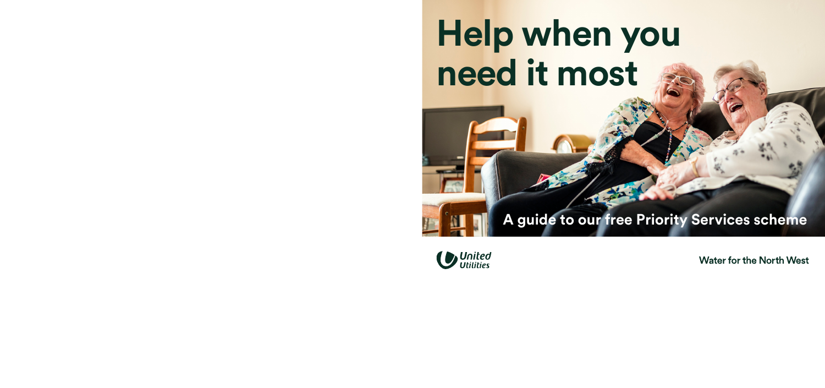# **Help when you need it most**

### **A guide to our free Priority Services scheme**



*I*•*I*•*I*<sup> $\sim$ </sup> United '1::15 United '1::15 United '1::15 United '1::15 United '1::15 United States Water for the North West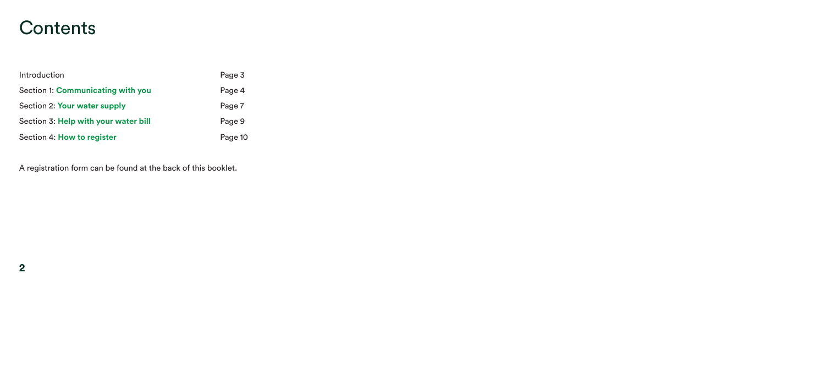### **Contents**

| Introduction                         | Page 3  |
|--------------------------------------|---------|
| Section 1: Communicating with you    | Page 4  |
| Section 2: Your water supply         | Page 7  |
| Section 3: Help with your water bill | Page 9  |
| Section 4: How to register           | Page 10 |

A registration form can be found at the back of this booklet.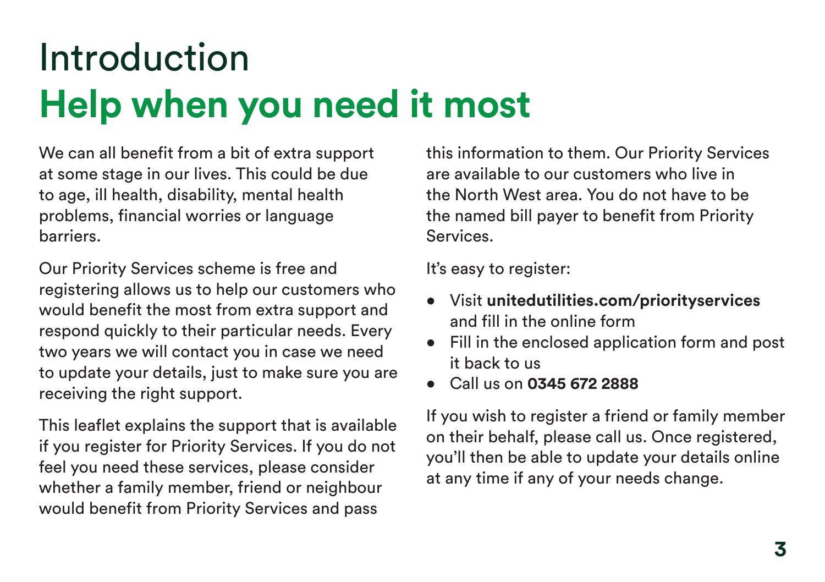### Introduction **Help when you need it most**

We can all benefit from a bit of extra support at some stage in our lives. This could be due to age, ill health, disability, mental health problems, financial worries or language barriers.

Our Priority Services scheme is free and registering allows us to help our customers who would benefit the most from extra support and respond quickly to their particular needs. Every two years we will contact you in case we need to update your details, just to make sure you are receiving the right support.

This leaflet explains the support that is available if you register for Priority Services. If you do not feel you need these services, please consider whether a family member, friend or neighbour would benefit from Priority Services and pass

this information to them. Our Priority Services are available to our customers who live in the North West area. You do not have to be the named bill payer to benefit from Priority Services.

It's easy to register:

- Visit **[unitedutilities.com/priorityservices](https://unitedutilities.com/priorityservices)**  and fill in the online form
- Fill in the enclosed application form and post it back to us
- Call us on **0345 672 2888**

If you wish to register a friend or family member on their behalf, please call us. Once registered, you'll then be able to update your details online at any time if any of your needs change.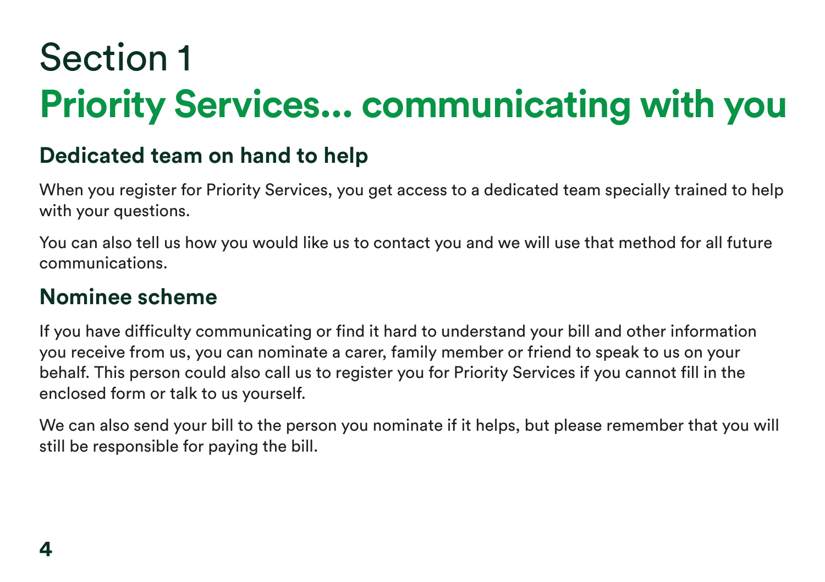# Section 1 **Priority Services... communicating with you**

### **Dedicated team on hand to help**

When you register for Priority Services, you get access to a dedicated team specially trained to help with your questions.

You can also tell us how you would like us to contact you and we will use that method for all future communications.

#### **Nominee scheme**

If you have difficulty communicating or find it hard to understand your bill and other information you receive from us, you can nominate a carer, family member or friend to speak to us on your behalf. This person could also call us to register you for Priority Services if you cannot fill in the enclosed form or talk to us yourself.

We can also send your bill to the person you nominate if it helps, but please remember that you will still be responsible for paying the bill.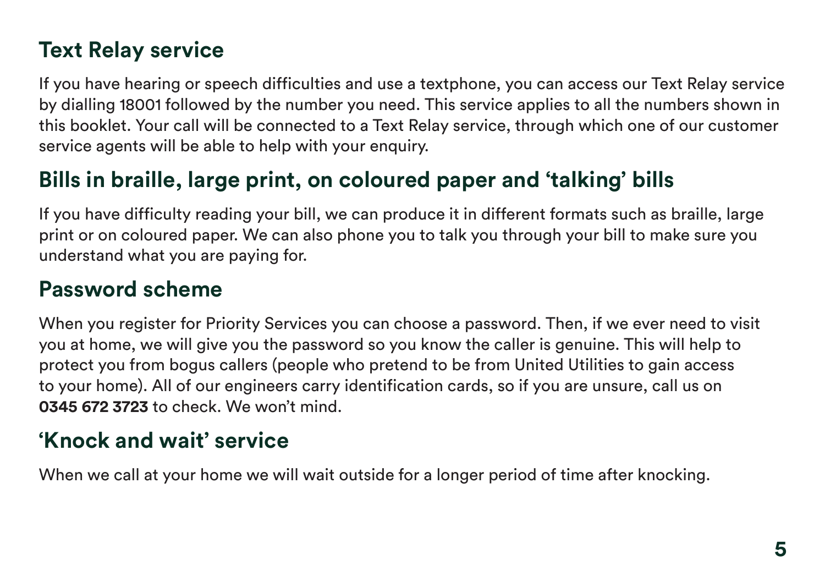### **Text Relay service**

If you have hearing or speech difficulties and use a textphone, you can access our Text Relay service by dialling 18001 followed by the number you need. This service applies to all the numbers shown in this booklet. Your call will be connected to a Text Relay service, through which one of our customer service agents will be able to help with your enquiry.

### **Bills in braille, large print, on coloured paper and 'talking' bills**

If you have difficulty reading your bill, we can produce it in different formats such as braille, large print or on coloured paper. We can also phone you to talk you through your bill to make sure you understand what you are paying for.

### **Password scheme**

When you register for Priority Services you can choose a password. Then, if we ever need to visit you at home, we will give you the password so you know the caller is genuine. This will help to protect you from bogus callers (people who pretend to be from United Utilities to gain access to your home). All of our engineers carry identification cards, so if you are unsure, call us on **0345 672 3723** to check. We won't mind.

### **'Knock and wait' service**

When we call at your home we will wait outside for a longer period of time after knocking.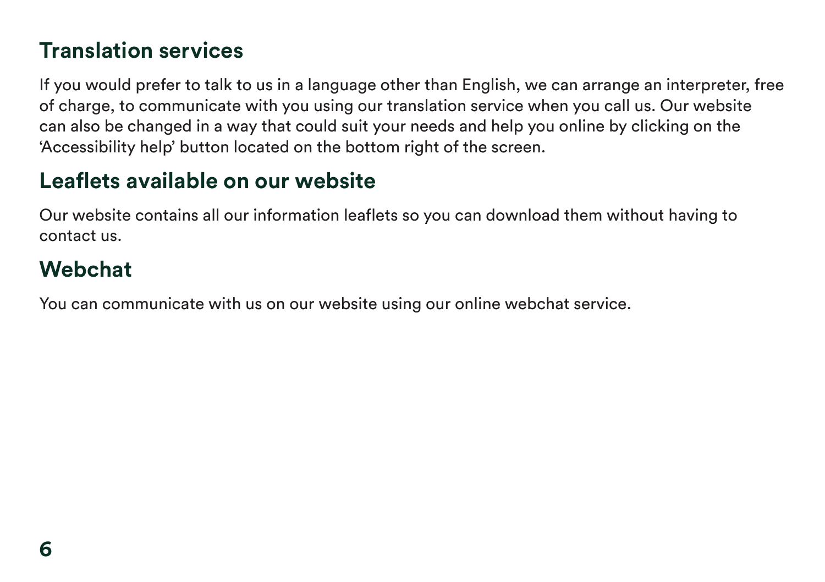### **Translation services**

If you would prefer to talk to us in a language other than English, we can arrange an interpreter, free of charge, to communicate with you using our translation service when you call us. Our website can also be changed in a way that could suit your needs and help you online by clicking on the 'Accessibility help' button located on the bottom right of the screen.

### **Leaflets available on our website**

Our website contains all our information leaflets so you can download them without having to contact us.

### **Webchat**

You can communicate with us on our website using our online webchat service.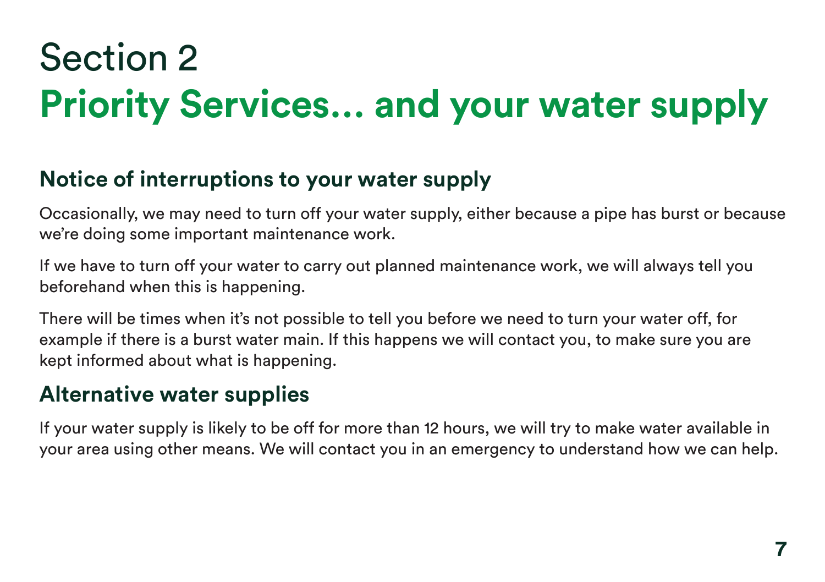### Section 2 **Priority Services… and your water supply**

### **Notice of interruptions to your water supply**

Occasionally, we may need to turn off your water supply, either because a pipe has burst or because we're doing some important maintenance work.

If we have to turn off your water to carry out planned maintenance work, we will always tell you beforehand when this is happening.

There will be times when it's not possible to tell you before we need to turn your water off, for example if there is a burst water main. If this happens we will contact you, to make sure you are kept informed about what is happening.

### **Alternative water supplies**

If your water supply is likely to be off for more than 12 hours, we will try to make water available in your area using other means. We will contact you in an emergency to understand how we can help.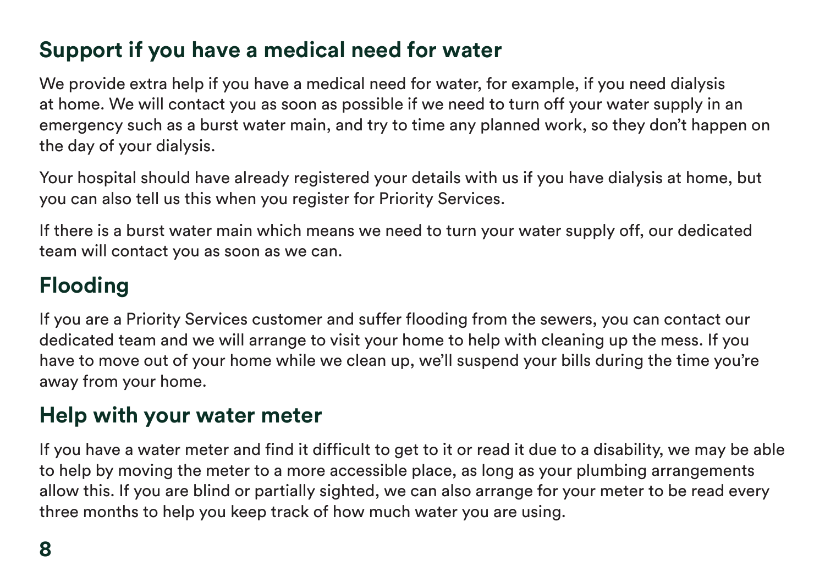### **Support if you have a medical need for water**

We provide extra help if you have a medical need for water, for example, if you need dialysis at home. We will contact you as soon as possible if we need to turn off your water supply in an emergency such as a burst water main, and try to time any planned work, so they don't happen on the day of your dialysis.

Your hospital should have already registered your details with us if you have dialysis at home, but you can also tell us this when you register for Priority Services.

If there is a burst water main which means we need to turn your water supply off, our dedicated team will contact you as soon as we can.

### **Flooding**

If you are a Priority Services customer and suffer flooding from the sewers, you can contact our dedicated team and we will arrange to visit your home to help with cleaning up the mess. If you have to move out of your home while we clean up, we'll suspend your bills during the time you're away from your home.

### **Help with your water meter**

If you have a water meter and find it difficult to get to it or read it due to a disability, we may be able to help by moving the meter to a more accessible place, as long as your plumbing arrangements allow this. If you are blind or partially sighted, we can also arrange for your meter to be read every three months to help you keep track of how much water you are using.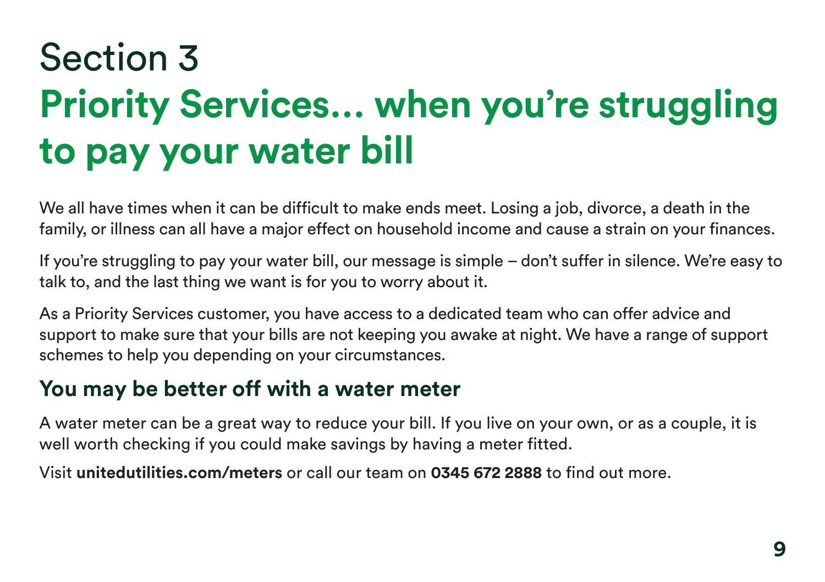# Section 3 **Priority Services… when you're struggling to pay your water bill**

We all have times when it can be difficult to make ends meet. Losing a job, divorce, a death in the family, or illness can all have a major effect on household income and cause a strain on your finances.

If you're struggling to pay your water bill, our message is simple – don't suffer in silence. We're easy to talk to, and the last thing we want is for you to worry about it.

As a Priority Services customer, you have access to a dedicated team who can offer advice and support to make sure that your bills are not keeping you awake at night. We have a range of support schemes to help you depending on your circumstances.

### **You may be better off with a water meter**

A water meter can be a great way to reduce your bill. If you live on your own, or as a couple, it is well worth checking if you could make savings by having a meter fitted.

Visit **[unitedutilities.com/meters](https://unitedutilities.com/meters)** or call our team on **0345 672 2888** to find out more.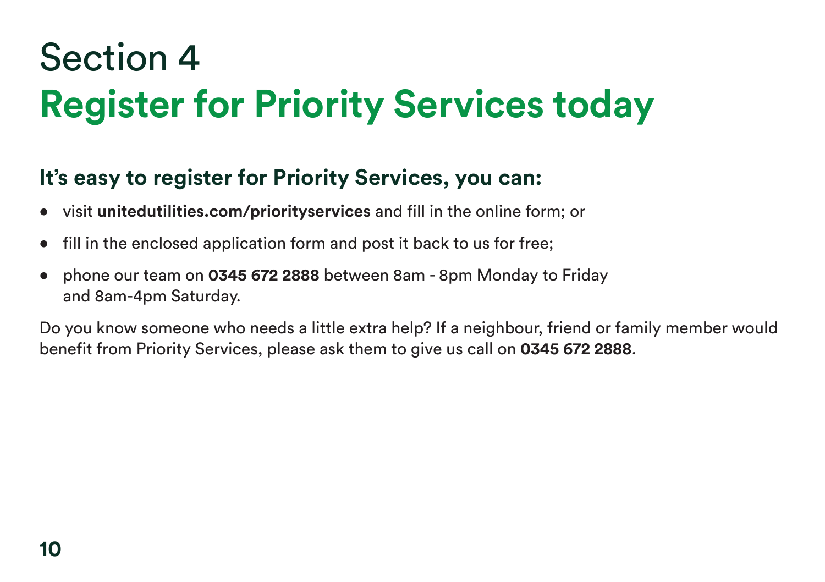### Section 4 **Register for Priority Services today**

### **It's easy to register for Priority Services, you can:**

- visit **[unitedutilities.com/priorityservices](https://unitedutilities.com/priorityservices)** and fill in the online form; or
- fill in the enclosed application form and post it back to us for free;
- phone our team on **0345 672 2888** between 8am 8pm Monday to Friday and 8am-4pm Saturday.

Do you know someone who needs a little extra help? If a neighbour, friend or family member would benefit from Priority Services, please ask them to give us call on **0345 672 2888**.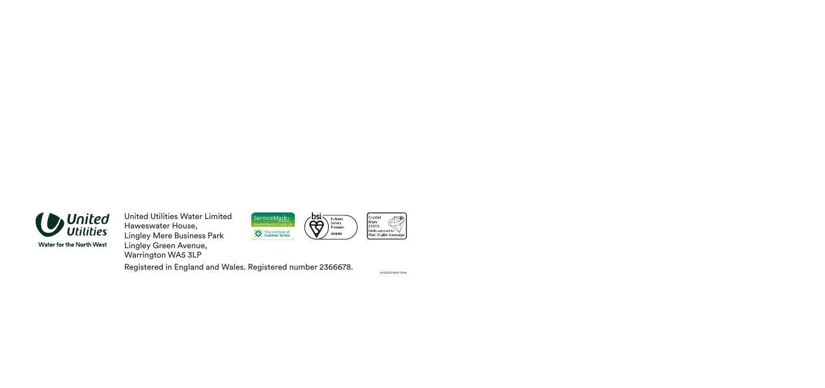

**Water for the North West** 

United Utilities Water Limited Haweswater House, Lingley Mere Business Park Lingley Green Avenue, Warrington WA5 3LP



Registered in England and Wales. Registered number 2366678.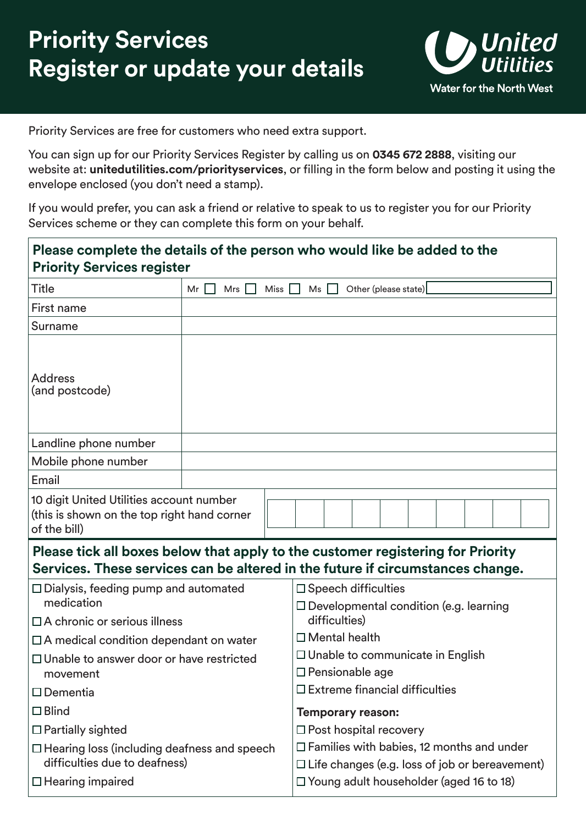

Priority Services are free for customers who need extra support.

You can sign up for our Priority Services Register by calling us on **0345 672 2888**, visiting our website at: **[unitedutilities.com/priorityservices](https://unitedutilities.com/priorityservices)**, or filling in the form below and posting it using the envelope enclosed (you don't need a stamp).

If you would prefer, you can ask a friend or relative to speak to us to register you for our Priority Services scheme or they can complete this form on your behalf.

| <b>Priority Services register</b>                                                                                                                                 |                   | Please complete the details of the person who would like be added to the                                  |  |  |
|-------------------------------------------------------------------------------------------------------------------------------------------------------------------|-------------------|-----------------------------------------------------------------------------------------------------------|--|--|
| Title                                                                                                                                                             | Mr<br>Miss<br>Mrs | Other (please state)<br>Ms                                                                                |  |  |
| First name                                                                                                                                                        |                   |                                                                                                           |  |  |
| Surname                                                                                                                                                           |                   |                                                                                                           |  |  |
| <b>Address</b><br>(and postcode)                                                                                                                                  |                   |                                                                                                           |  |  |
| Landline phone number                                                                                                                                             |                   |                                                                                                           |  |  |
| Mobile phone number                                                                                                                                               |                   |                                                                                                           |  |  |
| Email                                                                                                                                                             |                   |                                                                                                           |  |  |
| 10 digit United Utilities account number<br>(this is shown on the top right hand corner<br>of the bill)                                                           |                   |                                                                                                           |  |  |
| Please tick all boxes below that apply to the customer registering for Priority<br>Services. These services can be altered in the future if circumstances change. |                   |                                                                                                           |  |  |
| $\Box$ Dialysis, feeding pump and automated<br>medication                                                                                                         |                   | $\square$ Speech difficulties<br>$\Box$ Developmental condition (e.g. learning                            |  |  |
| □ A chronic or serious illness                                                                                                                                    |                   | difficulties)                                                                                             |  |  |
| $\Box$ A medical condition dependant on water                                                                                                                     |                   | $\Box$ Mental health                                                                                      |  |  |
| $\Box$ Unable to answer door or have restricted<br>movement                                                                                                       |                   | $\Box$ Unable to communicate in English<br>□ Pensionable age                                              |  |  |
| $\square$ Dementia                                                                                                                                                |                   | $\square$ Extreme financial difficulties                                                                  |  |  |
| $\square$ Blind                                                                                                                                                   |                   | <b>Temporary reason:</b>                                                                                  |  |  |
| $\Box$ Partially sighted                                                                                                                                          |                   | $\Box$ Post hospital recovery                                                                             |  |  |
| $\Box$ Hearing loss (including deafness and speech<br>difficulties due to deafness)                                                                               |                   | $\Box$ Families with babies, 12 months and under<br>$\Box$ Life changes (e.g. loss of job or bereavement) |  |  |
| $\Box$ Hearing impaired                                                                                                                                           |                   | $\Box$ Young adult householder (aged 16 to 18)                                                            |  |  |